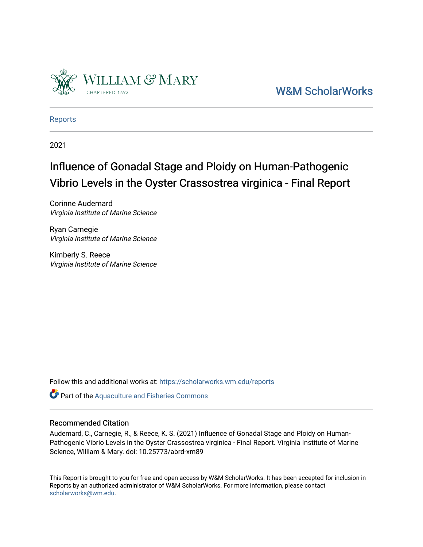

[W&M ScholarWorks](https://scholarworks.wm.edu/) 

[Reports](https://scholarworks.wm.edu/reports)

2021

# Influence of Gonadal Stage and Ploidy on Human-Pathogenic Vibrio Levels in the Oyster Crassostrea virginica - Final Report

Corinne Audemard Virginia Institute of Marine Science

Ryan Carnegie Virginia Institute of Marine Science

Kimberly S. Reece Virginia Institute of Marine Science

Follow this and additional works at: [https://scholarworks.wm.edu/reports](https://scholarworks.wm.edu/reports?utm_source=scholarworks.wm.edu%2Freports%2F2490&utm_medium=PDF&utm_campaign=PDFCoverPages)

Part of the [Aquaculture and Fisheries Commons](http://network.bepress.com/hgg/discipline/78?utm_source=scholarworks.wm.edu%2Freports%2F2490&utm_medium=PDF&utm_campaign=PDFCoverPages)

### Recommended Citation

Audemard, C., Carnegie, R., & Reece, K. S. (2021) Influence of Gonadal Stage and Ploidy on Human-Pathogenic Vibrio Levels in the Oyster Crassostrea virginica - Final Report. Virginia Institute of Marine Science, William & Mary. doi: 10.25773/abrd-xm89

This Report is brought to you for free and open access by W&M ScholarWorks. It has been accepted for inclusion in Reports by an authorized administrator of W&M ScholarWorks. For more information, please contact [scholarworks@wm.edu.](mailto:scholarworks@wm.edu)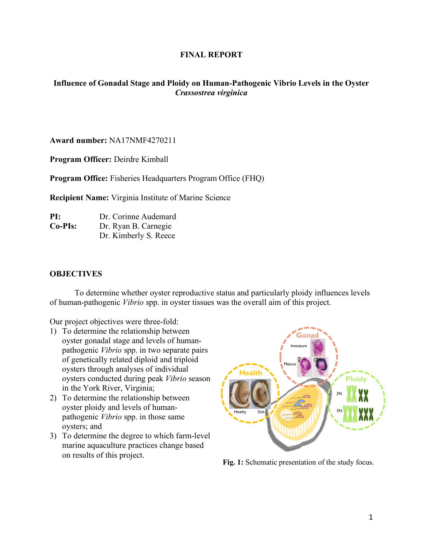# **FINAL REPORT**

# **Influence of Gonadal Stage and Ploidy on Human-Pathogenic Vibrio Levels in the Oyster**  *Crassostrea virginica*

**Award number:** NA17NMF4270211

**Program Officer:** Deirdre Kimball

**Program Office:** Fisheries Headquarters Program Office (FHQ)

**Recipient Name:** Virginia Institute of Marine Science

**PI:** Dr. Corinne Audemard **Co-PIs:** Dr. Ryan B. Carnegie Dr. Kimberly S. Reece

## **OBJECTIVES**

To determine whether oyster reproductive status and particularly ploidy influences levels of human-pathogenic *Vibrio* spp. in oyster tissues was the overall aim of this project.

Our project objectives were three-fold:

- 1) To determine the relationship between oyster gonadal stage and levels of humanpathogenic *Vibrio* spp. in two separate pairs of genetically related diploid and triploid oysters through analyses of individual oysters conducted during peak *Vibrio* season in the York River, Virginia;
- 2) To determine the relationship between oyster ploidy and levels of humanpathogenic *Vibrio* spp. in those same oysters; and
- 3) To determine the degree to which farm-level marine aquaculture practices change based on results of this project.



**Fig. 1:** Schematic presentation of the study focus.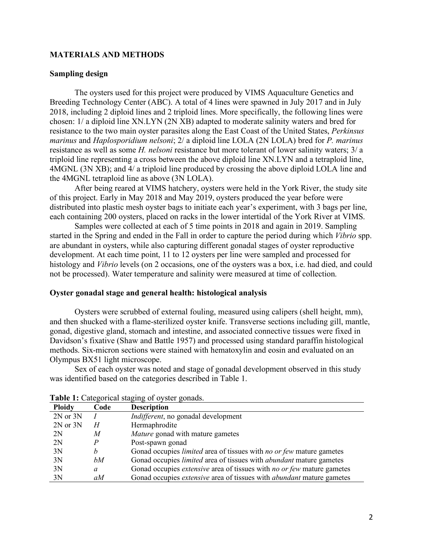## **MATERIALS AND METHODS**

### **Sampling design**

The oysters used for this project were produced by VIMS Aquaculture Genetics and Breeding Technology Center (ABC). A total of 4 lines were spawned in July 2017 and in July 2018, including 2 diploid lines and 2 triploid lines. More specifically, the following lines were chosen: 1/ a diploid line XN.LYN (2N XB) adapted to moderate salinity waters and bred for resistance to the two main oyster parasites along the East Coast of the United States, *Perkinsus marinus* and *Haplosporidium nelsoni*; 2/ a diploid line LOLA (2N LOLA) bred for *P. marinus* resistance as well as some *H. nelsoni* resistance but more tolerant of lower salinity waters; 3/ a triploid line representing a cross between the above diploid line XN.LYN and a tetraploid line, 4MGNL (3N XB); and 4/ a triploid line produced by crossing the above diploid LOLA line and the 4MGNL tetraploid line as above (3N LOLA).

After being reared at VIMS hatchery, oysters were held in the York River, the study site of this project. Early in May 2018 and May 2019, oysters produced the year before were distributed into plastic mesh oyster bags to initiate each year's experiment, with 3 bags per line, each containing 200 oysters, placed on racks in the lower intertidal of the York River at VIMS.

Samples were collected at each of 5 time points in 2018 and again in 2019. Sampling started in the Spring and ended in the Fall in order to capture the period during which *Vibrio* spp. are abundant in oysters, while also capturing different gonadal stages of oyster reproductive development. At each time point, 11 to 12 oysters per line were sampled and processed for histology and *Vibrio* levels (on 2 occasions, one of the oysters was a box, i.e. had died, and could not be processed). Water temperature and salinity were measured at time of collection.

## **Oyster gonadal stage and general health: histological analysis**

Oysters were scrubbed of external fouling, measured using calipers (shell height, mm), and then shucked with a flame-sterilized oyster knife. Transverse sections including gill, mantle, gonad, digestive gland, stomach and intestine, and associated connective tissues were fixed in Davidson's fixative (Shaw and Battle 1957) and processed using standard paraffin histological methods. Six-micron sections were stained with hematoxylin and eosin and evaluated on an Olympus BX51 light microscope.

Sex of each oyster was noted and stage of gonadal development observed in this study was identified based on the categories described in Table 1.

| <b>Ploidy</b> | Code | <b>Description</b>                                                                   |
|---------------|------|--------------------------------------------------------------------------------------|
| 2N or 3N      |      | <i>Indifferent</i> , no gonadal development                                          |
| 2N or 3N      | H    | Hermaphrodite                                                                        |
| 2N            | M    | <i>Mature</i> gonad with mature gametes                                              |
| 2N            | Р    | Post-spawn gonad                                                                     |
| 3N            | h    | Gonad occupies <i>limited</i> area of tissues with <i>no or few</i> mature gametes   |
| 3N            | bМ   | Gonad occupies <i>limited</i> area of tissues with <i>abundant</i> mature gametes    |
| 3N            | a    | Gonad occupies <i>extensive</i> area of tissues with <i>no or few</i> mature gametes |
| 3N            | aM   | Gonad occupies extensive area of tissues with <i>abundant</i> mature gametes         |

|  | Table 1: Categorical staging of oyster gonads. |  |  |  |
|--|------------------------------------------------|--|--|--|
|--|------------------------------------------------|--|--|--|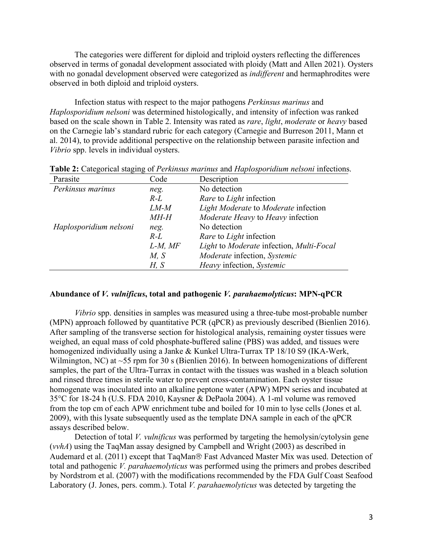The categories were different for diploid and triploid oysters reflecting the differences observed in terms of gonadal development associated with ploidy (Matt and Allen 2021). Oysters with no gonadal development observed were categorized as *indifferent* and hermaphrodites were observed in both diploid and triploid oysters.

Infection status with respect to the major pathogens *Perkinsus marinus* and *Haplosporidium nelsoni* was determined histologically, and intensity of infection was ranked based on the scale shown in Table 2. Intensity was rated as *rare*, *light*, *moderate* or *heavy* based on the Carnegie lab's standard rubric for each category (Carnegie and Burreson 2011, Mann et al. 2014), to provide additional perspective on the relationship between parasite infection and *Vibrio* spp. levels in individual oysters.

| Parasite               | Code         | Description                              |  |
|------------------------|--------------|------------------------------------------|--|
| Perkinsus marinus      | neg.         | No detection                             |  |
|                        | $R-L$        | Rare to Light infection                  |  |
|                        | $LM-M$       | Light Moderate to Moderate infection     |  |
|                        | <i>MH-H</i>  | Moderate Heavy to Heavy infection        |  |
| Haplosporidium nelsoni | neg.         | No detection                             |  |
|                        | $R-L$        | Rare to Light infection                  |  |
|                        | $L-M$ , $MF$ | Light to Moderate infection, Multi-Focal |  |
|                        | M, S         | Moderate infection, Systemic             |  |
|                        | H, S         | Heavy infection, Systemic                |  |

**Table 2:** Categorical staging of *Perkinsus marinus* and *Haplosporidium nelsoni* infections.

# **Abundance of** *V. vulnificus***, total and pathogenic** *V. parahaemolyticus***: MPN-qPCR**

*Vibrio* spp. densities in samples was measured using a three-tube most-probable number (MPN) approach followed by quantitative PCR (qPCR) as previously described (Bienlien 2016). After sampling of the transverse section for histological analysis, remaining oyster tissues were weighed, an equal mass of cold phosphate-buffered saline (PBS) was added, and tissues were homogenized individually using a Janke & Kunkel Ultra-Turrax TP 18/10 S9 (IKA-Werk, Wilmington, NC) at ~55 rpm for 30 s (Bienlien 2016). In between homogenizations of different samples, the part of the Ultra-Turrax in contact with the tissues was washed in a bleach solution and rinsed three times in sterile water to prevent cross-contamination. Each oyster tissue homogenate was inoculated into an alkaline peptone water (APW) MPN series and incubated at 35°C for 18-24 h (U.S. FDA 2010, Kaysner & DePaola 2004). A 1-ml volume was removed from the top cm of each APW enrichment tube and boiled for 10 min to lyse cells (Jones et al. 2009), with this lysate subsequently used as the template DNA sample in each of the qPCR assays described below.

Detection of total *V. vulnificus* was performed by targeting the hemolysin/cytolysin gene (*vvhA*) using the TaqMan assay designed by Campbell and Wright (2003) as described in Audemard et al. (2011) except that TaqMan® Fast Advanced Master Mix was used. Detection of total and pathogenic *V. parahaemolyticus* was performed using the primers and probes described by Nordstrom et al. (2007) with the modifications recommended by the FDA Gulf Coast Seafood Laboratory (J. Jones, pers. comm.). Total *V. parahaemolyticus* was detected by targeting the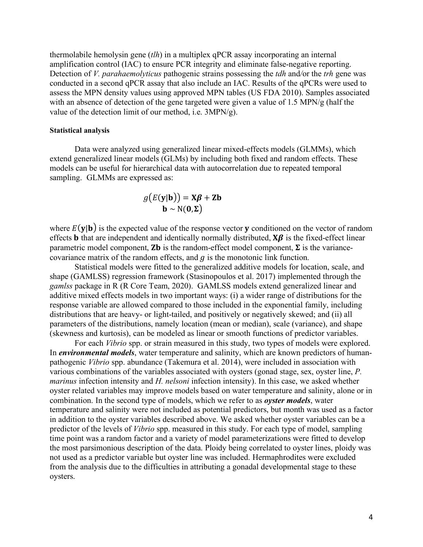thermolabile hemolysin gene (*tlh*) in a multiplex qPCR assay incorporating an internal amplification control (IAC) to ensure PCR integrity and eliminate false-negative reporting. Detection of *V. parahaemolyticus* pathogenic strains possessing the *tdh* and*/*or the *trh* gene was conducted in a second qPCR assay that also include an IAC. Results of the qPCRs were used to assess the MPN density values using approved MPN tables (US FDA 2010). Samples associated with an absence of detection of the gene targeted were given a value of 1.5 MPN/g (half the value of the detection limit of our method, i.e. 3MPN/g).

#### **Statistical analysis**

Data were analyzed using generalized linear mixed-effects models (GLMMs), which extend generalized linear models (GLMs) by including both fixed and random effects. These models can be useful for hierarchical data with autocorrelation due to repeated temporal sampling. GLMMs are expressed as:

$$
g(E(\mathbf{y}|\mathbf{b})) = \mathbf{X}\boldsymbol{\beta} + \mathbf{Z}\mathbf{b}
$$

$$
\mathbf{b} \sim \mathcal{N}(\mathbf{0}, \boldsymbol{\Sigma})
$$

where  $E(y|b)$  is the expected value of the response vector **y** conditioned on the vector of random effects **b** that are independent and identically normally distributed,  $X\beta$  is the fixed-effect linear parametric model component, **Zb** is the random-effect model component,  $\Sigma$  is the variancecovariance matrix of the random effects, and  $q$  is the monotonic link function.

Statistical models were fitted to the generalized additive models for location, scale, and shape (GAMLSS) regression framework (Stasinopoulos et al. 2017) implemented through the *gamlss* package in R (R Core Team, 2020). GAMLSS models extend generalized linear and additive mixed effects models in two important ways: (i) a wider range of distributions for the response variable are allowed compared to those included in the exponential family, including distributions that are heavy- or light-tailed, and positively or negatively skewed; and (ii) all parameters of the distributions, namely location (mean or median), scale (variance), and shape (skewness and kurtosis), can be modeled as linear or smooth functions of predictor variables.

For each *Vibrio* spp. or strain measured in this study, two types of models were explored. In *environmental models*, water temperature and salinity, which are known predictors of humanpathogenic *Vibrio* spp. abundance (Takemura et al. 2014), were included in association with various combinations of the variables associated with oysters (gonad stage, sex, oyster line, *P. marinus* infection intensity and *H. nelsoni* infection intensity). In this case, we asked whether oyster related variables may improve models based on water temperature and salinity, alone or in combination. In the second type of models, which we refer to as *oyster models*, water temperature and salinity were not included as potential predictors, but month was used as a factor in addition to the oyster variables described above. We asked whether oyster variables can be a predictor of the levels of *Vibrio* spp. measured in this study. For each type of model, sampling time point was a random factor and a variety of model parameterizations were fitted to develop the most parsimonious description of the data. Ploidy being correlated to oyster lines, ploidy was not used as a predictor variable but oyster line was included. Hermaphrodites were excluded from the analysis due to the difficulties in attributing a gonadal developmental stage to these oysters.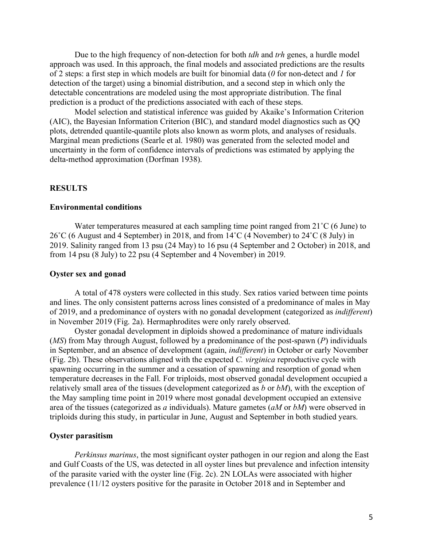Due to the high frequency of non-detection for both *tdh* and *trh* genes, a hurdle model approach was used. In this approach, the final models and associated predictions are the results of 2 steps: a first step in which models are built for binomial data (*0* for non-detect and *1* for detection of the target) using a binomial distribution, and a second step in which only the detectable concentrations are modeled using the most appropriate distribution. The final prediction is a product of the predictions associated with each of these steps.

Model selection and statistical inference was guided by Akaike's Information Criterion (AIC), the Bayesian Information Criterion (BIC), and standard model diagnostics such as QQ plots, detrended quantile-quantile plots also known as worm plots, and analyses of residuals. Marginal mean predictions (Searle et al. 1980) was generated from the selected model and uncertainty in the form of confidence intervals of predictions was estimated by applying the delta-method approximation (Dorfman 1938).

## **RESULTS**

#### **Environmental conditions**

Water temperatures measured at each sampling time point ranged from 21<sup>°</sup>C (6 June) to 26˚C (6 August and 4 September) in 2018, and from 14˚C (4 November) to 24˚C (8 July) in 2019. Salinity ranged from 13 psu (24 May) to 16 psu (4 September and 2 October) in 2018, and from 14 psu (8 July) to 22 psu (4 September and 4 November) in 2019.

#### **Oyster sex and gonad**

A total of 478 oysters were collected in this study. Sex ratios varied between time points and lines. The only consistent patterns across lines consisted of a predominance of males in May of 2019, and a predominance of oysters with no gonadal development (categorized as *indifferent*) in November 2019 (Fig. 2a). Hermaphrodites were only rarely observed.

Oyster gonadal development in diploids showed a predominance of mature individuals (*MS*) from May through August, followed by a predominance of the post-spawn (*P*) individuals in September, and an absence of development (again, *indifferent*) in October or early November (Fig. 2b). These observations aligned with the expected *C. virginica* reproductive cycle with spawning occurring in the summer and a cessation of spawning and resorption of gonad when temperature decreases in the Fall. For triploids, most observed gonadal development occupied a relatively small area of the tissues (development categorized as *b* or *bM*), with the exception of the May sampling time point in 2019 where most gonadal development occupied an extensive area of the tissues (categorized as *a* individuals). Mature gametes (*aM* or *bM*) were observed in triploids during this study, in particular in June, August and September in both studied years.

#### **Oyster parasitism**

*Perkinsus marinus*, the most significant oyster pathogen in our region and along the East and Gulf Coasts of the US, was detected in all oyster lines but prevalence and infection intensity of the parasite varied with the oyster line (Fig. 2c). 2N LOLAs were associated with higher prevalence (11/12 oysters positive for the parasite in October 2018 and in September and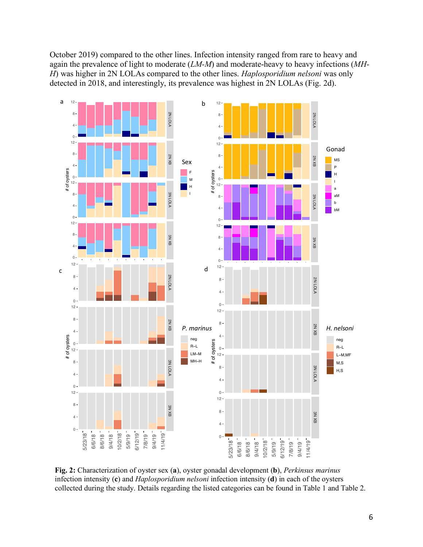October 2019) compared to the other lines. Infection intensity ranged from rare to heavy and again the prevalence of light to moderate (*LM-M*) and moderate-heavy to heavy infections (*MH-H*) was higher in 2N LOLAs compared to the other lines. *Haplosporidium nelsoni* was only detected in 2018, and interestingly, its prevalence was highest in 2N LOLAs (Fig. 2d).



**Fig. 2:** Characterization of oyster sex (**a**), oyster gonadal development (**b**), *Perkinsus marinus* infection intensity (**c**) and *Haplosporidium nelsoni* infection intensity (**d**) in each of the oysters collected during the study. Details regarding the listed categories can be found in Table 1 and Table 2.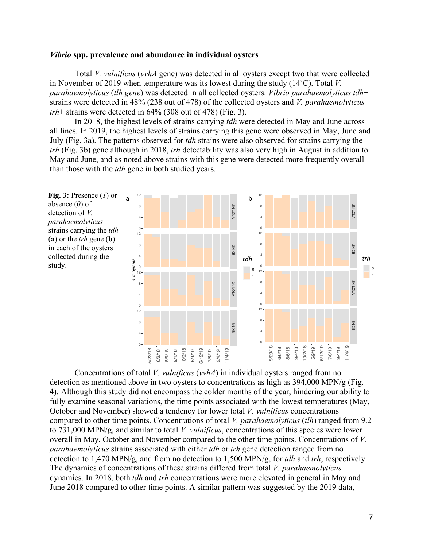### *Vibrio* **spp. prevalence and abundance in individual oysters**

Total *V. vulnificus* (*vvhA* gene) was detected in all oysters except two that were collected in November of 2019 when temperature was its lowest during the study (14˚C). Total *V. parahaemolyticus* (*tlh gene*) was detected in all collected oysters. *Vibrio parahaemolyticus tdh*+ strains were detected in 48% (238 out of 478) of the collected oysters and *V. parahaemolyticus trh*+ strains were detected in 64% (308 out of 478) (Fig. 3).

In 2018, the highest levels of strains carrying *tdh* were detected in May and June across all lines. In 2019, the highest levels of strains carrying this gene were observed in May, June and July (Fig. 3a). The patterns observed for *tdh* strains were also observed for strains carrying the *trh* (Fig. 3b) gene although in 2018, *trh* detectability was also very high in August in addition to May and June, and as noted above strains with this gene were detected more frequently overall than those with the *tdh* gene in both studied years.



Concentrations of total *V. vulnificus* (*vvhA*) in individual oysters ranged from no detection as mentioned above in two oysters to concentrations as high as 394,000 MPN/g (Fig. 4). Although this study did not encompass the colder months of the year, hindering our ability to fully examine seasonal variations, the time points associated with the lowest temperatures (May, October and November) showed a tendency for lower total *V. vulnificus* concentrations compared to other time points. Concentrations of total *V. parahaemolyticus* (*tlh*) ranged from 9.2 to 731,000 MPN/g, and similar to total *V. vulnificus*, concentrations of this species were lower overall in May, October and November compared to the other time points. Concentrations of *V. parahaemolyticus* strains associated with either *tdh* or *trh* gene detection ranged from no detection to 1,470 MPN/g, and from no detection to 1,500 MPN/g, for *tdh* and *trh*, respectively. The dynamics of concentrations of these strains differed from total *V. parahaemolyticus* dynamics. In 2018, both *tdh* and *trh* concentrations were more elevated in general in May and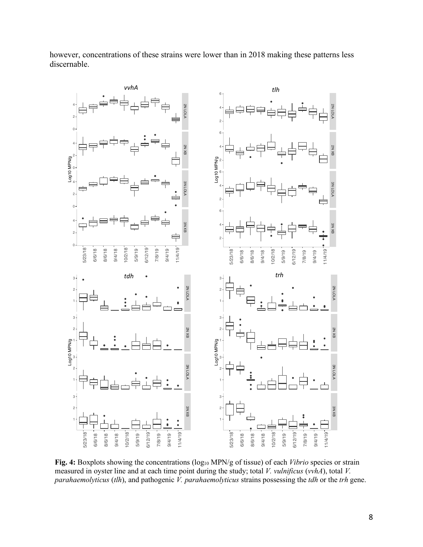

however, concentrations of these strains were lower than in 2018 making these patterns less discernable.

**Fig. 4:** Boxplots showing the concentrations (log<sub>10</sub> MPN/g of tissue) of each *Vibrio* species or strain measured in oyster line and at each time point during the study; total *V. vulnificus* (*vvhA*), total *V. parahaemolyticus* (*tlh*), and pathogenic *V. parahaemolyticus* strains possessing the *tdh* or the *trh* gene.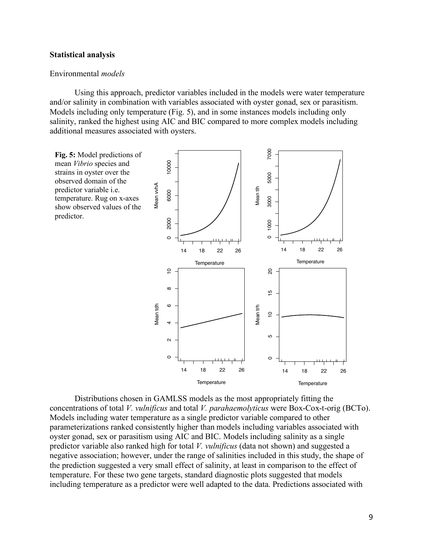### **Statistical analysis**

#### Environmental *models*

Using this approach, predictor variables included in the models were water temperature and/or salinity in combination with variables associated with oyster gonad, sex or parasitism. Models including only temperature (Fig. 5), and in some instances models including only salinity, ranked the highest using AIC and BIC compared to more complex models including additional measures associated with oysters.



Distributions chosen in GAMLSS models as the most appropriately fitting the concentrations of total *V. vulnificus* and total *V. parahaemolyticus* were Box-Cox-t-orig (BCTo). Models including water temperature as a single predictor variable compared to other parameterizations ranked consistently higher than models including variables associated with oyster gonad, sex or parasitism using AIC and BIC. Models including salinity as a single predictor variable also ranked high for total *V. vulnificus* (data not shown) and suggested a negative association; however, under the range of salinities included in this study, the shape of the prediction suggested a very small effect of salinity, at least in comparison to the effect of temperature. For these two gene targets, standard diagnostic plots suggested that models including temperature as a predictor were well adapted to the data. Predictions associated with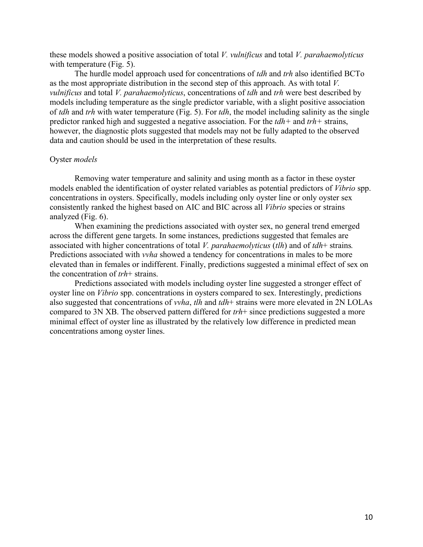these models showed a positive association of total *V. vulnificus* and total *V. parahaemolyticus* with temperature (Fig. 5).

The hurdle model approach used for concentrations of *tdh* and *trh* also identified BCTo as the most appropriate distribution in the second step of this approach. As with total *V. vulnificus* and total *V. parahaemolyticus*, concentrations of *tdh* and *trh* were best described by models including temperature as the single predictor variable, with a slight positive association of *tdh* and *trh* with water temperature (Fig. 5). For *tdh*, the model including salinity as the single predictor ranked high and suggested a negative association. For the *tdh+* and *trh+* strains, however, the diagnostic plots suggested that models may not be fully adapted to the observed data and caution should be used in the interpretation of these results.

#### Oyster *models*

Removing water temperature and salinity and using month as a factor in these oyster models enabled the identification of oyster related variables as potential predictors of *Vibrio* spp. concentrations in oysters. Specifically, models including only oyster line or only oyster sex consistently ranked the highest based on AIC and BIC across all *Vibrio* species or strains analyzed (Fig. 6).

When examining the predictions associated with oyster sex, no general trend emerged across the different gene targets. In some instances, predictions suggested that females are associated with higher concentrations of total *V. parahaemolyticus* (*tlh*) and of *tdh*+ strains*.*  Predictions associated with *vvha* showed a tendency for concentrations in males to be more elevated than in females or indifferent. Finally, predictions suggested a minimal effect of sex on the concentration of *trh*+ strains.

Predictions associated with models including oyster line suggested a stronger effect of oyster line on *Vibrio* spp. concentrations in oysters compared to sex. Interestingly, predictions also suggested that concentrations of *vvha*, *tlh* and *tdh*+ strains were more elevated in 2N LOLAs compared to 3N XB. The observed pattern differed for *trh*+ since predictions suggested a more minimal effect of oyster line as illustrated by the relatively low difference in predicted mean concentrations among oyster lines.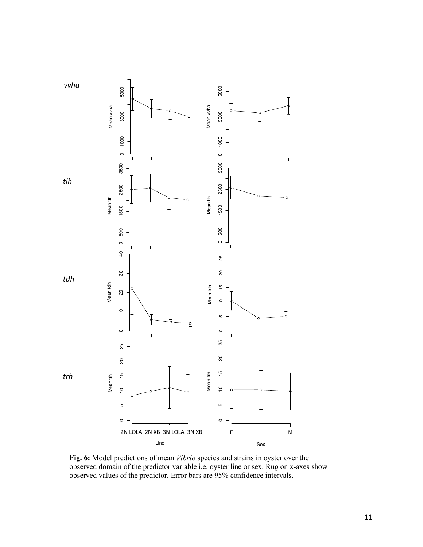

**Fig. 6:** Model predictions of mean *Vibrio* species and strains in oyster over the observed domain of the predictor variable i.e. oyster line or sex. Rug on x-axes show observed values of the predictor. Error bars are 95% confidence intervals.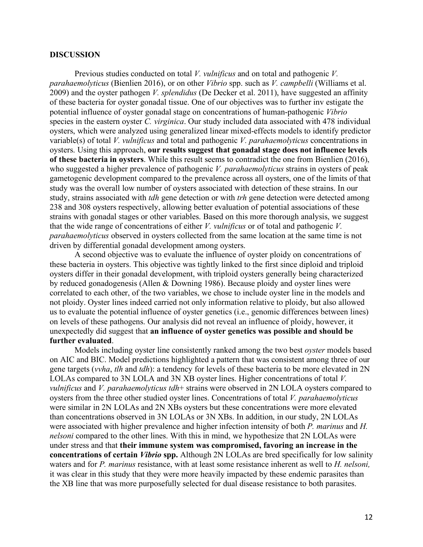#### **DISCUSSION**

Previous studies conducted on total *V. vulnificus* and on total and pathogenic *V. parahaemolyticus* (Bienlien 2016), or on other *Vibrio* spp. such as *V. campbelli* (Williams et al. 2009) and the oyster pathogen *V. splendidus* (De Decker et al. 2011), have suggested an affinity of these bacteria for oyster gonadal tissue. One of our objectives was to further inv estigate the potential influence of oyster gonadal stage on concentrations of human-pathogenic *Vibrio*  species in the eastern oyster *C. virginica*. Our study included data associated with 478 individual oysters, which were analyzed using generalized linear mixed-effects models to identify predictor variable(s) of total *V. vulnificus* and total and pathogenic *V. parahaemolyticus* concentrations in oysters. Using this approach, **our results suggest that gonadal stage does not influence levels of these bacteria in oysters**. While this result seems to contradict the one from Bienlien (2016), who suggested a higher prevalence of pathogenic *V. parahaemolyticus* strains in oysters of peak gametogenic development compared to the prevalence across all oysters, one of the limits of that study was the overall low number of oysters associated with detection of these strains. In our study, strains associated with *tdh* gene detection or with *trh* gene detection were detected among 238 and 308 oysters respectively, allowing better evaluation of potential associations of these strains with gonadal stages or other variables. Based on this more thorough analysis, we suggest that the wide range of concentrations of either *V. vulnificus* or of total and pathogenic *V. parahaemolyticus* observed in oysters collected from the same location at the same time is not driven by differential gonadal development among oysters.

A second objective was to evaluate the influence of oyster ploidy on concentrations of these bacteria in oysters. This objective was tightly linked to the first since diploid and triploid oysters differ in their gonadal development, with triploid oysters generally being characterized by reduced gonadogenesis (Allen & Downing 1986). Because ploidy and oyster lines were correlated to each other, of the two variables, we chose to include oyster line in the models and not ploidy. Oyster lines indeed carried not only information relative to ploidy, but also allowed us to evaluate the potential influence of oyster genetics (i.e., genomic differences between lines) on levels of these pathogens. Our analysis did not reveal an influence of ploidy, however, it unexpectedly did suggest that **an influence of oyster genetics was possible and should be further evaluated**.

Models including oyster line consistently ranked among the two best *oyster* models based on AIC and BIC. Model predictions highlighted a pattern that was consistent among three of our gene targets (*vvha*, *tlh* and *tdh*): a tendency for levels of these bacteria to be more elevated in 2N LOLAs compared to 3N LOLA and 3N XB oyster lines. Higher concentrations of total *V. vulnificus* and *V. parahaemolyticus tdh*+ strains were observed in 2N LOLA oysters compared to oysters from the three other studied oyster lines. Concentrations of total *V. parahaemolyticus* were similar in 2N LOLAs and 2N XBs oysters but these concentrations were more elevated than concentrations observed in 3N LOLAs or 3N XBs. In addition, in our study, 2N LOLAs were associated with higher prevalence and higher infection intensity of both *P. marinus* and *H. nelsoni* compared to the other lines. With this in mind, we hypothesize that 2N LOLAs were under stress and that **their immune system was compromised, favoring an increase in the concentrations of certain** *Vibrio* **spp.** Although 2N LOLAs are bred specifically for low salinity waters and for *P. marinus* resistance, with at least some resistance inherent as well to *H. nelsoni,* it was clear in this study that they were more heavily impacted by these endemic parasites than the XB line that was more purposefully selected for dual disease resistance to both parasites.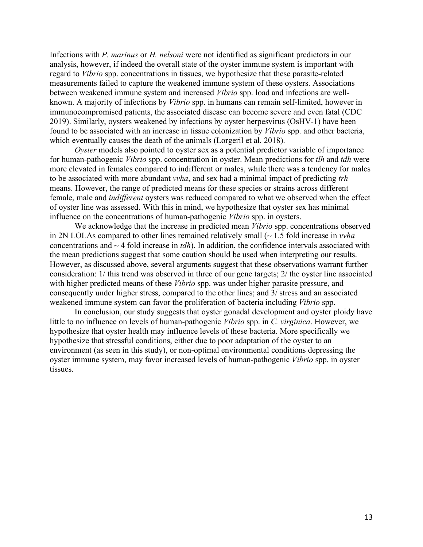Infections with *P. marinus* or *H. nelsoni* were not identified as significant predictors in our analysis, however, if indeed the overall state of the oyster immune system is important with regard to *Vibrio* spp. concentrations in tissues, we hypothesize that these parasite-related measurements failed to capture the weakened immune system of these oysters. Associations between weakened immune system and increased *Vibrio* spp. load and infections are wellknown. A majority of infections by *Vibrio* spp. in humans can remain self-limited, however in immunocompromised patients, the associated disease can become severe and even fatal (CDC 2019). Similarly, oysters weakened by infections by oyster herpesvirus (OsHV-1) have been found to be associated with an increase in tissue colonization by *Vibrio* spp. and other bacteria, which eventually causes the death of the animals (Lorgeril et al. 2018).

*Oyster* models also pointed to oyster sex as a potential predictor variable of importance for human-pathogenic *Vibrio* spp. concentration in oyster. Mean predictions for *tlh* and *tdh* were more elevated in females compared to indifferent or males, while there was a tendency for males to be associated with more abundant *vvha*, and sex had a minimal impact of predicting *trh* means. However, the range of predicted means for these species or strains across different female, male and *indifferent* oysters was reduced compared to what we observed when the effect of oyster line was assessed. With this in mind, we hypothesize that oyster sex has minimal influence on the concentrations of human-pathogenic *Vibrio* spp. in oysters.

We acknowledge that the increase in predicted mean *Vibrio* spp. concentrations observed in 2N LOLAs compared to other lines remained relatively small (~ 1.5 fold increase in *vvha*  concentrations and ~ 4 fold increase in *tdh*). In addition, the confidence intervals associated with the mean predictions suggest that some caution should be used when interpreting our results. However, as discussed above, several arguments suggest that these observations warrant further consideration: 1/ this trend was observed in three of our gene targets; 2/ the oyster line associated with higher predicted means of these *Vibrio* spp. was under higher parasite pressure, and consequently under higher stress, compared to the other lines; and 3/ stress and an associated weakened immune system can favor the proliferation of bacteria including *Vibrio* spp.

In conclusion, our study suggests that oyster gonadal development and oyster ploidy have little to no influence on levels of human-pathogenic *Vibrio* spp. in *C. virginica*. However, we hypothesize that oyster health may influence levels of these bacteria. More specifically we hypothesize that stressful conditions, either due to poor adaptation of the oyster to an environment (as seen in this study), or non-optimal environmental conditions depressing the oyster immune system, may favor increased levels of human-pathogenic *Vibrio* spp. in oyster tissues.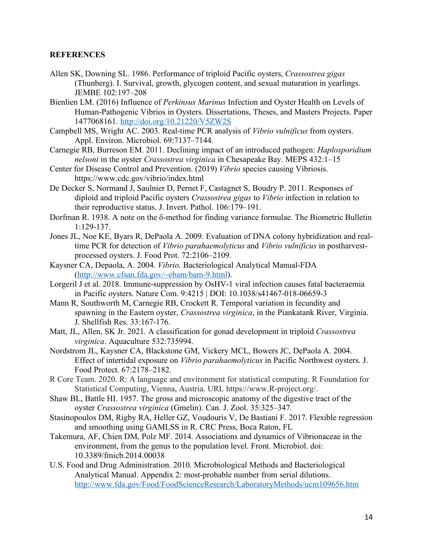# **REFERENCES**

- Allen SK, Downing SL. 1986. Performance of triploid Pacific oysters, *Crassostrea gigas* (Thunberg). I. Survival, growth, glycogen content, and sexual maturation in yearlings. JEMBE 102:197–208
- Bienlien LM. (2016) Influence of *Perkinsus Marinus* Infection and Oyster Health on Levels of Human-Pathogenic Vibrios in Oysters. Dissertations, Theses, and Masters Projects. Paper 1477068161. http://doi.org/10.21220/V5ZW2S
- Campbell MS, Wright AC. 2003. Real-time PCR analysis of *Vibrio vulnificus* from oysters. Appl. Environ. Microbiol. 69:7137–7144.
- Carnegie RB, Burreson EM. 2011. Declining impact of an introduced pathogen: *Haplosporidium nelsoni* in the oyster *Crassostrea virginica* in Chesapeake Bay. MEPS 432:1–15
- Center for Disease Control and Prevention. (2019) *Vibrio* species causing Vibriosis. https://www.cdc.gov/vibrio/index.html
- De Decker S, Normand J, Saulnier D, Pernet F, Castagnet S, Boudry P. 2011. Responses of diploid and triploid Pacific oysters *Crassostrea gigas* to *Vibrio* infection in relation to their reproductive status. J. Invert. Pathol. 106:179–191.
- Dorfman R. 1938. A note on the  $\delta$ -method for finding variance formulae. The Biometric Bulletin 1:129-137.
- Jones JL, Noe KE, Byars R, DePaola A. 2009. Evaluation of DNA colony hybridization and realtime PCR for detection of *Vibrio parahaemolyticus* and *Vibrio vulnificus* in postharvestprocessed oysters. J. Food Prot. 72:2106–2109.
- Kaysner CA, Depaola, A. 2004. *Vibrio*. Bacteriological Analytical Manual-FDA (http://www.cfsan.fda.gov/~ebam/bam-9.html).
- Lorgeril J et al. 2018. Immune-suppression by OsHV-1 viral infection causes fatal bacteraemia in Pacific oysters. Nature Com. 9:4215 | DOI: 10.1038/s41467-018-06659-3
- Mann R, Southworth M, Carnegie RB, Crockett R. Temporal variation in fecundity and spawning in the Eastern oyster, *Crassostrea virginica*, in the Piankatank River, Virginia. J. Shellfish Res. 33:167-176.
- Matt, JL, Allen, SK Jr. 2021. A classification for gonad development in triploid *Crassostrea virginica*. Aquaculture 532:735994.
- Nordstrom JL, Kaysner CA, Blackstone GM, Vickery MCL, Bowers JC, DePaola A. 2004. Effect of intertidal exposure on *Vibrio parahaemolyticus* in Pacific Northwest oysters. J. Food Protect. 67:2178–2182.
- R Core Team. 2020. R: A language and environment for statistical computing. R Foundation for Statistical Computing, Vienna, Austria. URL https://www.R-project.org/.
- Shaw BL, Battle HI. 1957. The gross and microscopic anatomy of the digestive tract of the oyster *Crassostrea virginica* (Gmelin). Can. J. Zool. 35:325–347.
- Stasinopoulos DM, Rigby RA, Heller GZ, Voudouris V, De Bastiani F. 2017. Flexible regression and smoothing using GAMLSS in R. CRC Press, Boca Raton, FL
- Takemura, AF, Chien DM, Polz MF. 2014. Associations and dynamics of Vibrionaceae in the environment, from the genus to the population level. Front. Microbiol. doi: 10.3389/fmicb.2014.00038
- U.S. Food and Drug Administration. 2010. Microbiological Methods and Bacteriological Analytical Manual. Appendix 2: most-probable number from serial dilutions. http://www.fda.gov/Food/FoodScienceResearch/LaboratoryMethods/ucm109656.htm